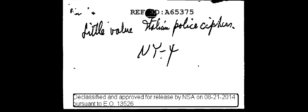$\mathbb{C}$ **REF** 100: A65375 fille value station police cipitur.  $NY-Y$ Declassified and approved for release by NSA on 08-21-2014 ' bursuant to E.O. 13526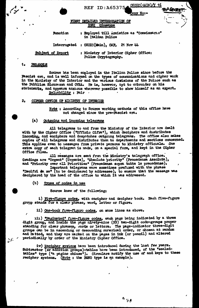CSDIC(AIN)/Y 16 **REF ID: A65375** 

**Copy No:-**

## FIRST DETAILED INTERROGATION OF DOSI Ciuseppe

**Runotion** : Employed till Annistice as "Commissario" in Italian Police

Interrogated : CSDIC(Main), CMF, 21 Nov 44

Subject of Report : Ministry of Interior Cipher Office: Police Cryptography.

# PREAKBLE

يوسمي

 $\mathcal{G}^{(2)}$ 

Source has been employed in the Italian Police since before the Fascist era, and is well informed on the types of communications and cipher work in the Ministry of the Interior and the various divisions of the Police such as the Pubblica Sicurezza and OVRA. He is, however, apt to orbrorder on his statements, and appears anxious wherever possible to show himself as an expert. Reliability : Fair

#### $2<sub>0</sub>$ CIPHER OFFICE OF MINISTRY OF INTERIOR

Note : According to Scuree working methods of this office have not changed since the pre-Fascist era.

#### (a) Outgoing and incoming telegrams

All telegrams to and from the Ministry of the Interior are dealt with by the Cipher Office ("Ufficio Cifra"), which deciphers and distributes incoming, and enciphers and despatches outgoing telegrams. The office also makes copies of all telegrams and distributes them to departments and sections concerned. This applies even to messages from private persons to kinistry officials. One extra copy of each telegram is made, on a special form, and kept in the Cipher Office files.

All messages are sent from the Ministry's telegraph office.<br>Gradings are "Urgent" (Urgente), "Absolute priority" (Procedenza Assoluta), and "Priority over all Priorities" (Precedenza sopra tutte le precedenze).

Important telegrams were sometimes prefixed with the phrase "Decifri da se" (to be deciphered by addressee), to ensure that the message was<br>deciphered by the head of the office to which it was addressed.

 $(b)$ Types of codes in use

Source knew of the following:

i) Five-figure codes, with encipher and decipher book. Each five-figure group stands for a clear phrase, word, letter or figure.

ii) One-book five-figure codes, on same lines as above.

111) "Paginated" five-figure codes, each page being indicated by a three digit group, and inside the page nirety-nine (99) two-digit code-groups proper standing for clear phrases, words or letters. The page-indicator three-digit groups can be in ascending or descunding nurerical order, or chosen at random and intted, and they are marked on the pages in ink (or pencil) and altered periodically by order of the Ministry Cipher Office.

iv) Recipher systems have been introduced during the last few years. Subtractor (or addition groups)-tables have been introduced, of the "sealedtables" type ("a pagine chiuse"). Circulars notify the use of and keys to these recipher systems. (Note : the FANO type is an example).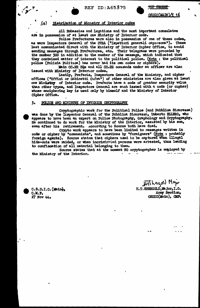TOP SECRET

<u>csdic(main)/y 16</u>

### $(a)$ Distribution of Ministry of Interior codes

All Embassies and Legations and the most important consulates are in possession of at least one Ministry of Interior code.

Police Prefectures were also in possession of one of these codes, as were Inspectors General of the OVRA ("Ispettori generali capi-zona"). These last communicated direct with the Ministry of Interior Cipher Office, to avoid sending messages through Prefectures, etc. Their telegrams were proceded by the number 500 in addition to the number of the message, which indicated that they contained matter of interest to the political police. (Note : the political police (Polizia Politica) has never had its own codes or ciphers).

Main CC.RR HQs and all CC.RR commands under an officer are also issued with Ministry of Interior codes.

Lastly, Prefects, Inspectors General of the Ministry, and cipher offices ("Uffici or Gabinetti Cıfra") of other ministries are also given at least one Ministry of Interior code. Prefects have a code of greater security value than other types, and Inspectors General are each issued with a code (or cipher) whose enciphering key is used only by himself and the Ministry of Interior Cipher Office.

#### 3. POLICE AND MINISTRY OF INTERIOR CRYPTOGRAPHY

Cryptographic work for the Political Police (and Pubblica Sicurezza) was done by the Inspector General of the Pubblica Sicurezza, Umberto ELLERO, who appears to have been an expert on Police Photography, Graphology and Cryptography. He continued to do work for the Ministry of the Interior, assisted by his son, even after his retirement. According to Source both have died.

Crypto work appears to have been limited to messages written in code or cipher by "communists", and sometimes by "foreigners" (Note : probably foreign agents). Source states that ciphers used to be captured when illegal hide-outs were raided, or when incriminated persons were arrested, thus leading to confiscation of all material belonging to them.

Source states that at the moment NO cryptographer is employed by the Ministry of the Interior.

C.S.D.I.C. (Main),  $C.M.F.$ 27 Nov 44.

**Bryth** 

Hitcheryord Major H.T. SHERGOLD, Major, I.O. Army Section. CSDIC(Main), CMF.